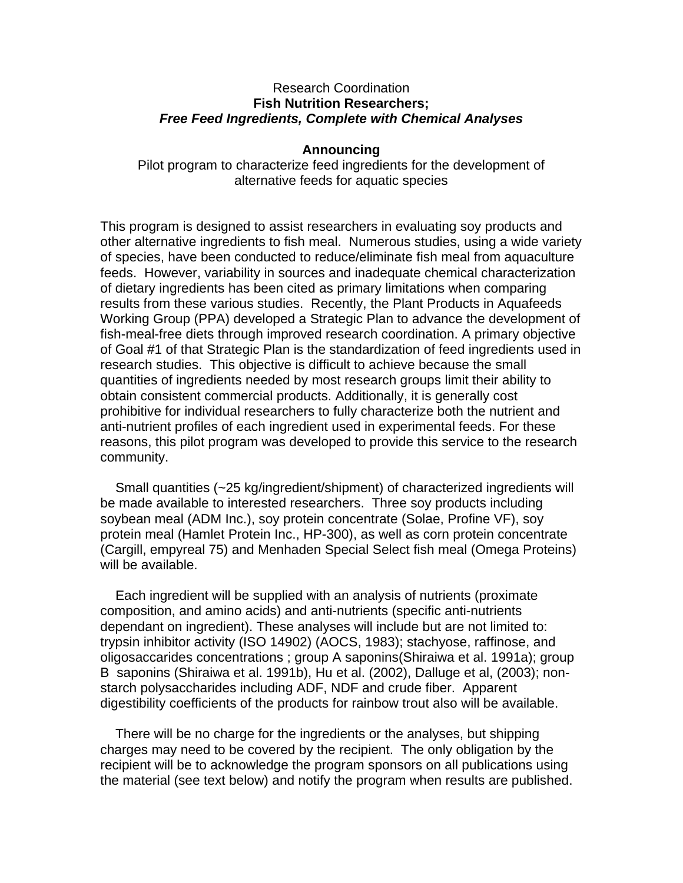## Research Coordination **Fish Nutrition Researchers;**  *Free Feed Ingredients, Complete with Chemical Analyses*

## **Announcing**

Pilot program to characterize feed ingredients for the development of alternative feeds for aquatic species

This program is designed to assist researchers in evaluating soy products and other alternative ingredients to fish meal. Numerous studies, using a wide variety of species, have been conducted to reduce/eliminate fish meal from aquaculture feeds. However, variability in sources and inadequate chemical characterization of dietary ingredients has been cited as primary limitations when comparing results from these various studies. Recently, the Plant Products in Aquafeeds Working Group (PPA) developed a Strategic Plan to advance the development of fish-meal-free diets through improved research coordination. A primary objective of Goal #1 of that Strategic Plan is the standardization of feed ingredients used in research studies. This objective is difficult to achieve because the small quantities of ingredients needed by most research groups limit their ability to obtain consistent commercial products. Additionally, it is generally cost prohibitive for individual researchers to fully characterize both the nutrient and anti-nutrient profiles of each ingredient used in experimental feeds. For these reasons, this pilot program was developed to provide this service to the research community.

Small quantities (~25 kg/ingredient/shipment) of characterized ingredients will be made available to interested researchers. Three soy products including soybean meal (ADM Inc.), soy protein concentrate (Solae, Profine VF), soy protein meal (Hamlet Protein Inc., HP-300), as well as corn protein concentrate (Cargill, empyreal 75) and Menhaden Special Select fish meal (Omega Proteins) will be available.

Each ingredient will be supplied with an analysis of nutrients (proximate composition, and amino acids) and anti-nutrients (specific anti-nutrients dependant on ingredient). These analyses will include but are not limited to: trypsin inhibitor activity (ISO 14902) (AOCS, 1983); stachyose, raffinose, and oligosaccarides concentrations ; group A saponins(Shiraiwa et al. 1991a); group B saponins (Shiraiwa et al. 1991b), Hu et al. (2002), Dalluge et al, (2003); nonstarch polysaccharides including ADF, NDF and crude fiber. Apparent digestibility coefficients of the products for rainbow trout also will be available.

There will be no charge for the ingredients or the analyses, but shipping charges may need to be covered by the recipient. The only obligation by the recipient will be to acknowledge the program sponsors on all publications using the material (see text below) and notify the program when results are published.